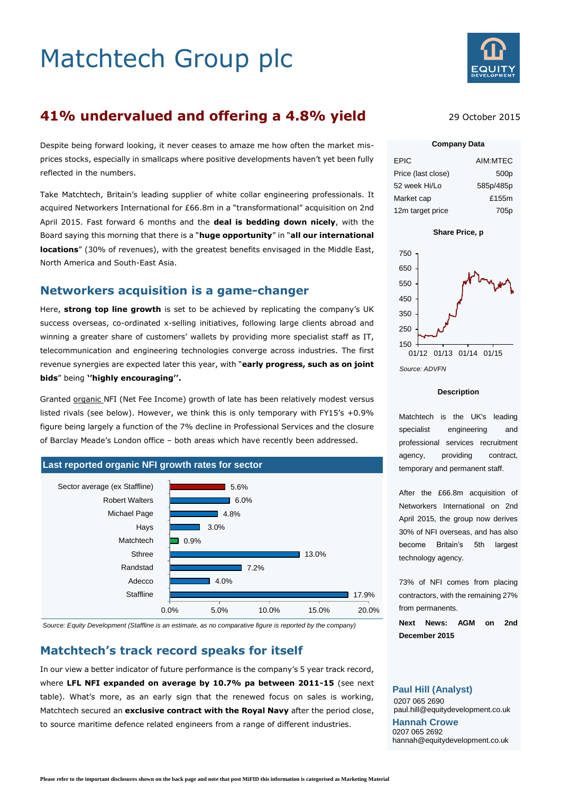# Matchtech Group plc



## **41% undervalued and offering a 4.8% yield**

Despite being forward looking, it never ceases to amaze me how often the market misprices stocks, especially in smallcaps where positive developments haven't yet been fully reflected in the numbers.

Take Matchtech, Britain's leading supplier of white collar engineering professionals. It acquired Networkers International for £66.8m in a "transformational" acquisition on 2nd April 2015. Fast forward 6 months and the **deal is bedding down nicely**, with the Board saying this morning that there is a "**huge opportunity**" in "**all our international locations**" (30% of revenues), with the greatest benefits envisaged in the Middle East, North America and South-East Asia.

## **Networkers acquisition is a game-changer**

Here, **strong top line growth** is set to be achieved by replicating the company's UK success overseas, co-ordinated x-selling initiatives, following large clients abroad and winning a greater share of customers' wallets by providing more specialist staff as IT, telecommunication and engineering technologies converge across industries. The first revenue synergies are expected later this year, with "**early progress, such as on joint bids**" being **''highly encouraging''.**

Granted organic NFI (Net Fee Income) growth of late has been relatively modest versus listed rivals (see below). However, we think this is only temporary with FY15's +0.9% figure being largely a function of the 7% decline in Professional Services and the closure of Barclay Meade's London office – both areas which have recently been addressed.



*Source: Equity Development (Staffline is an estimate, as no comparative figure is reported by the company)*

## **Matchtech's track record speaks for itself**

In our view a better indicator of future performance is the company's 5 year track record, where **LFL NFI expanded on average by 10.7% pa between 2011-15** (see next table). What's more, as an early sign that the renewed focus on sales is working, Matchtech secured an **exclusive contract with the Royal Navy** after the period close, to source maritime defence related engineers from a range of different industries.

#### 29 October 2015

#### **Company Data**

| <b>EPIC</b>        | AIM:MTEC         |
|--------------------|------------------|
| Price (last close) | 500 <sub>p</sub> |
| 52 week Hi/Lo      | 585p/485p        |
| Market cap         | £155m            |
| 12m target price   | 705p             |



*Source: ADVFN*

#### **Description**

Matchtech is the UK's leading specialist engineering and professional services recruitment agency, providing contract, temporary and permanent staff.

After the £66.8m acquisition of Networkers International on 2nd April 2015, the group now derives 30% of NFI overseas, and has also become Britain's 5th largest technology agency.

73% of NFI comes from placing contractors, with the remaining 27% from permanents.

**Next News: AGM on 2nd December 2015**

#### **Paul Hill (Analyst)**

0207 065 2690 paul.hill@equitydevelopment.co.uk **Hannah Crowe** 0207 065 2692 hannah@equitydevelopment.co.uk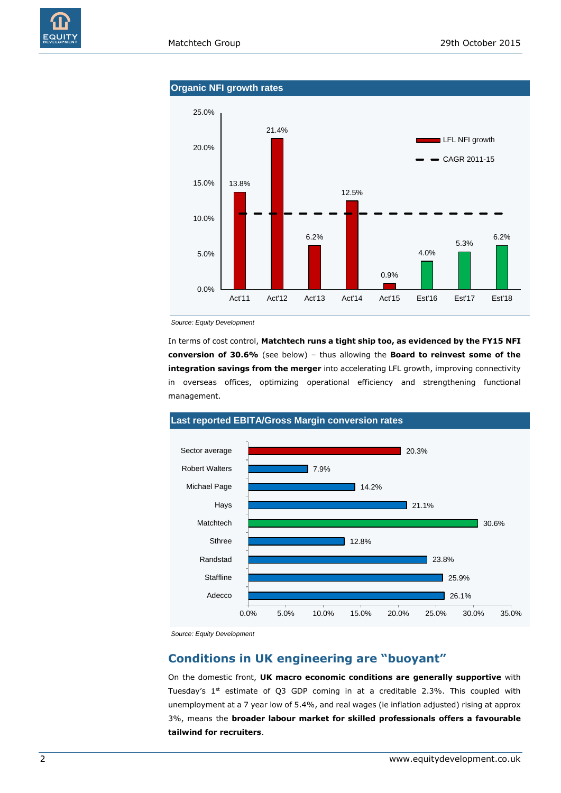#### **Organic NFI growth rates**



*Source: Equity Development*

In terms of cost control, **Matchtech runs a tight ship too, as evidenced by the FY15 NFI conversion of 30.6%** (see below) – thus allowing the **Board to reinvest some of the integration savings from the merger** into accelerating LFL growth, improving connectivity in overseas offices, optimizing operational efficiency and strengthening functional management.



*Source: Equity Development*

#### **Conditions in UK engineering are "buoyant"**

On the domestic front, **UK macro economic conditions are generally supportive** with Tuesday's  $1^{st}$  estimate of Q3 GDP coming in at a creditable 2.3%. This coupled with unemployment at a 7 year low of 5.4%, and real wages (ie inflation adjusted) rising at approx 3%, means the **broader labour market for skilled professionals offers a favourable tailwind for recruiters**.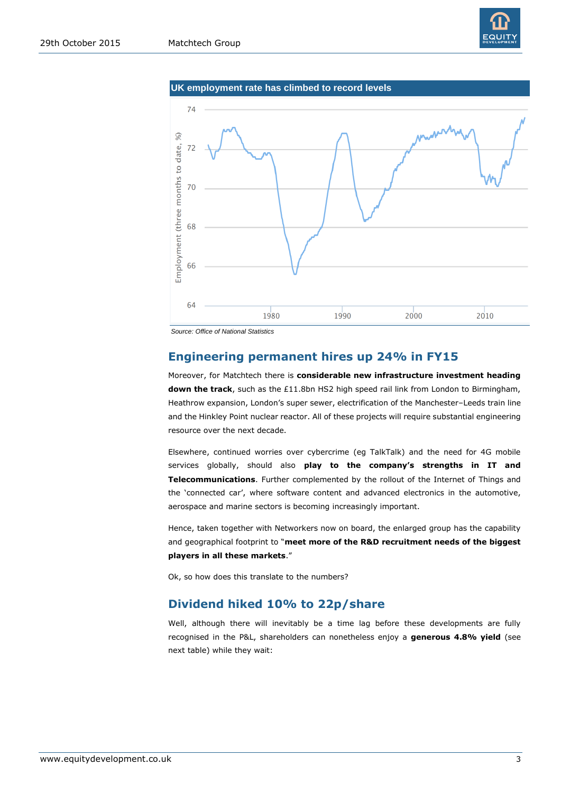





*Source: Office of National Statistics*

#### **Engineering permanent hires up 24% in FY15**

Moreover, for Matchtech there is **considerable new infrastructure investment heading down the track**, such as the £11.8bn HS2 high speed rail link from London to Birmingham, Heathrow expansion, London's super sewer, electrification of the Manchester–Leeds train line and the Hinkley Point nuclear reactor. All of these projects will require substantial engineering resource over the next decade.

Elsewhere, continued worries over cybercrime (eg TalkTalk) and the need for 4G mobile services globally, should also **play to the company's strengths in IT and Telecommunications**. Further complemented by the rollout of the Internet of Things and the 'connected car', where software content and advanced electronics in the automotive, aerospace and marine sectors is becoming increasingly important.

Hence, taken together with Networkers now on board, the enlarged group has the capability and geographical footprint to "**meet more of the R&D recruitment needs of the biggest players in all these markets**."

Ok, so how does this translate to the numbers?

## **Dividend hiked 10% to 22p/share**

Well, although there will inevitably be a time lag before these developments are fully recognised in the P&L, shareholders can nonetheless enjoy a **generous 4.8% yield** (see next table) while they wait: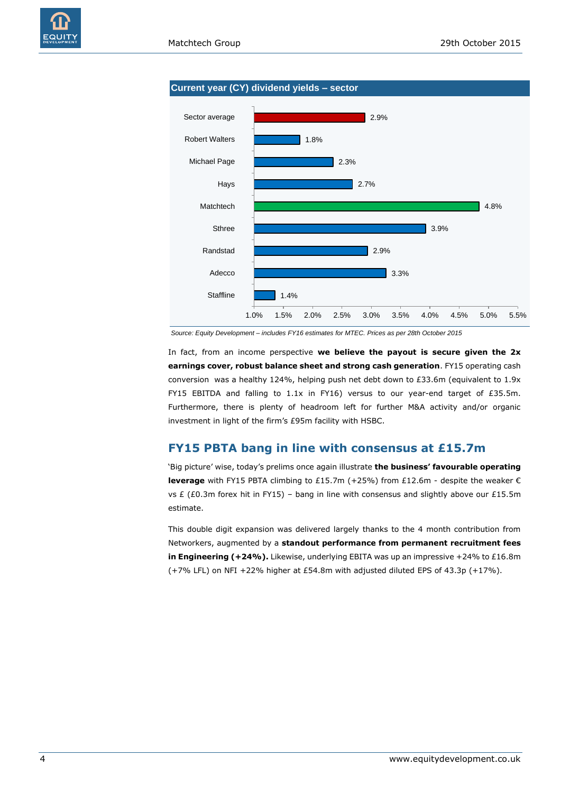



*Source: Equity Development – includes FY16 estimates for MTEC. Prices as per 28th October 2015*

In fact, from an income perspective **we believe the payout is secure given the 2x earnings cover, robust balance sheet and strong cash generation**. FY15 operating cash conversion was a healthy 124%, helping push net debt down to  $£33.6$ m (equivalent to  $1.9x$ FY15 EBITDA and falling to 1.1x in FY16) versus to our year-end target of £35.5m. Furthermore, there is plenty of headroom left for further M&A activity and/or organic investment in light of the firm's £95m facility with HSBC.

## **FY15 PBTA bang in line with consensus at £15.7m**

'Big picture' wise, today's prelims once again illustrate **the business' favourable operating leverage** with FY15 PBTA climbing to £15.7m (+25%) from £12.6m - despite the weaker € vs  $E$  (£0.3m forex hit in FY15) – bang in line with consensus and slightly above our £15.5m estimate.

This double digit expansion was delivered largely thanks to the 4 month contribution from Networkers, augmented by a **standout performance from permanent recruitment fees in Engineering (+24%).** Likewise, underlying EBITA was up an impressive +24% to £16.8m (+7% LFL) on NFI +22% higher at £54.8m with adjusted diluted EPS of 43.3p (+17%).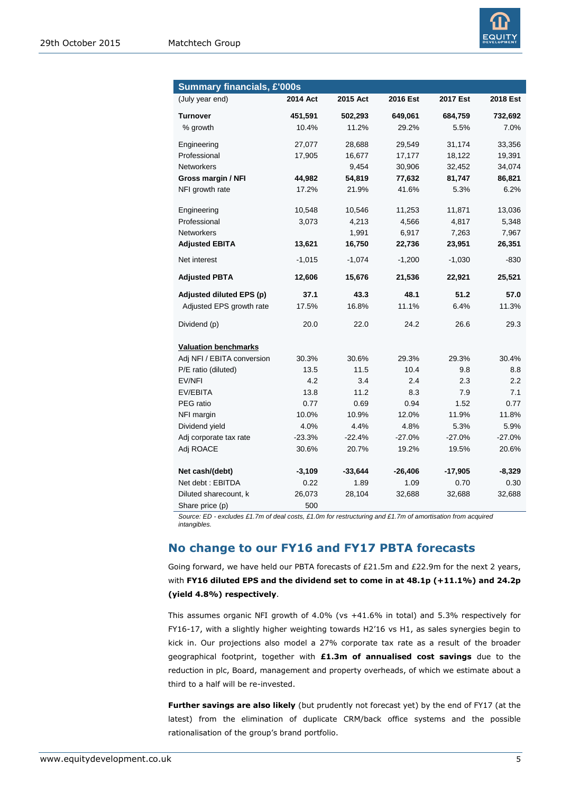

| <b>Summary financials, £'000s</b> |          |           |          |           |                  |  |  |
|-----------------------------------|----------|-----------|----------|-----------|------------------|--|--|
| (July year end)                   | 2014 Act | 2015 Act  | 2016 Est | 2017 Est  | 2018 Est         |  |  |
| <b>Turnover</b>                   | 451,591  | 502,293   | 649,061  | 684,759   | 732,692          |  |  |
| % growth                          | 10.4%    | 11.2%     | 29.2%    | 5.5%      | 7.0%             |  |  |
| Engineering                       | 27,077   | 28,688    | 29,549   | 31,174    | 33,356           |  |  |
| Professional                      | 17,905   | 16,677    | 17,177   | 18,122    | 19,391           |  |  |
| Networkers                        |          | 9,454     | 30,906   | 32,452    | 34,074           |  |  |
| Gross margin / NFI                | 44,982   | 54,819    | 77,632   | 81,747    | 86,821           |  |  |
| NFI growth rate                   | 17.2%    | 21.9%     | 41.6%    | 5.3%      | 6.2%             |  |  |
| Engineering                       | 10,548   | 10,546    | 11,253   | 11,871    | 13,036           |  |  |
| Professional                      | 3,073    | 4,213     | 4,566    | 4,817     | 5,348            |  |  |
| <b>Networkers</b>                 |          | 1,991     | 6,917    | 7,263     | 7,967            |  |  |
| <b>Adjusted EBITA</b>             | 13,621   | 16,750    | 22,736   | 23,951    | 26,351           |  |  |
| Net interest                      | $-1,015$ | $-1,074$  | $-1,200$ | $-1,030$  | $-830$           |  |  |
| <b>Adjusted PBTA</b>              | 12,606   | 15,676    | 21,536   | 22,921    | 25,521           |  |  |
| Adjusted diluted EPS (p)          | 37.1     | 43.3      | 48.1     | 51.2      | 57.0             |  |  |
| Adjusted EPS growth rate          | 17.5%    | 16.8%     | 11.1%    | 6.4%      | 11.3%            |  |  |
| Dividend (p)                      | 20.0     | 22.0      | 24.2     | 26.6      | 29.3             |  |  |
| <b>Valuation benchmarks</b>       |          |           |          |           |                  |  |  |
| Adj NFI / EBITA conversion        | 30.3%    | 30.6%     | 29.3%    | 29.3%     | 30.4%            |  |  |
| P/E ratio (diluted)               | 13.5     | 11.5      | 10.4     | 9.8       | 8.8              |  |  |
| EV/NFI                            | 4.2      | 3.4       | 2.4      | 2.3       | $2.2\phantom{0}$ |  |  |
| EV/EBITA                          | 13.8     | 11.2      | 8.3      | 7.9       | 7.1              |  |  |
| PEG ratio                         | 0.77     | 0.69      | 0.94     | 1.52      | 0.77             |  |  |
| NFI margin                        | 10.0%    | 10.9%     | 12.0%    | 11.9%     | 11.8%            |  |  |
| Dividend yield                    | 4.0%     | 4.4%      | 4.8%     | 5.3%      | 5.9%             |  |  |
| Adj corporate tax rate            | $-23.3%$ | $-22.4%$  | $-27.0%$ | $-27.0%$  | $-27.0%$         |  |  |
| Adj ROACE                         | 30.6%    | 20.7%     | 19.2%    | 19.5%     | 20.6%            |  |  |
| Net cash/(debt)                   | $-3,109$ | $-33,644$ | -26,406  | $-17,905$ | $-8,329$         |  |  |
| Net debt: EBITDA                  | 0.22     | 1.89      | 1.09     | 0.70      | 0.30             |  |  |
| Diluted sharecount, k             | 26,073   | 28,104    | 32,688   | 32,688    | 32,688           |  |  |
| Share price (p)                   | 500      |           |          |           |                  |  |  |

*Source: ED - excludes £1.7m of deal costs, £1.0m for restructuring and £1.7m of amortisation from acquired intangibles.*

## **No change to our FY16 and FY17 PBTA forecasts**

Going forward, we have held our PBTA forecasts of £21.5m and £22.9m for the next 2 years, with **FY16 diluted EPS and the dividend set to come in at 48.1p (+11.1%) and 24.2p (yield 4.8%) respectively**.

This assumes organic NFI growth of 4.0% (vs +41.6% in total) and 5.3% respectively for FY16-17, with a slightly higher weighting towards H2'16 vs H1, as sales synergies begin to kick in. Our projections also model a 27% corporate tax rate as a result of the broader geographical footprint, together with **£1.3m of annualised cost savings** due to the reduction in plc, Board, management and property overheads, of which we estimate about a third to a half will be re-invested.

**Further savings are also likely** (but prudently not forecast yet) by the end of FY17 (at the latest) from the elimination of duplicate CRM/back office systems and the possible rationalisation of the group's brand portfolio.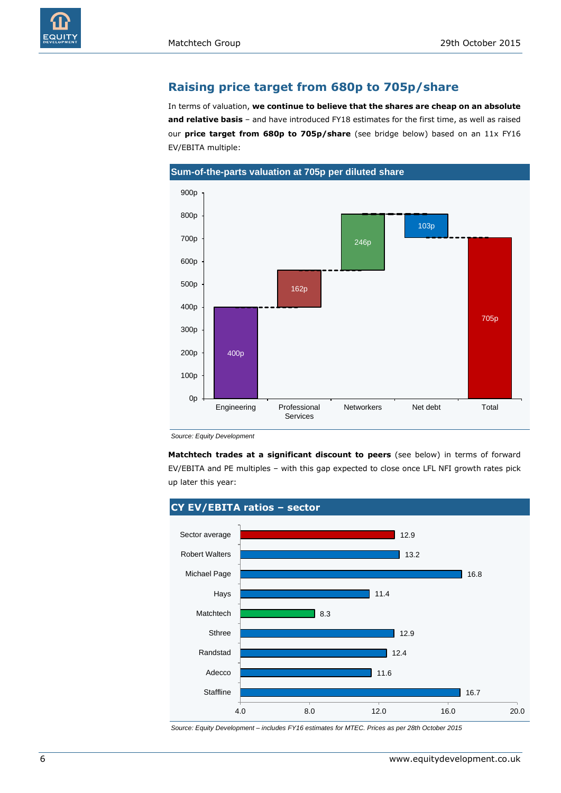

#### **Raising price target from 680p to 705p/share**

In terms of valuation, **we continue to believe that the shares are cheap on an absolute and relative basis** – and have introduced FY18 estimates for the first time, as well as raised our **price target from 680p to 705p/share** (see bridge below) based on an 11x FY16 EV/EBITA multiple:



*Source: Equity Development*

**Matchtech trades at a significant discount to peers** (see below) in terms of forward EV/EBITA and PE multiples – with this gap expected to close once LFL NFI growth rates pick up later this year:



*Source: Equity Development – includes FY16 estimates for MTEC. Prices as per 28th October 2015*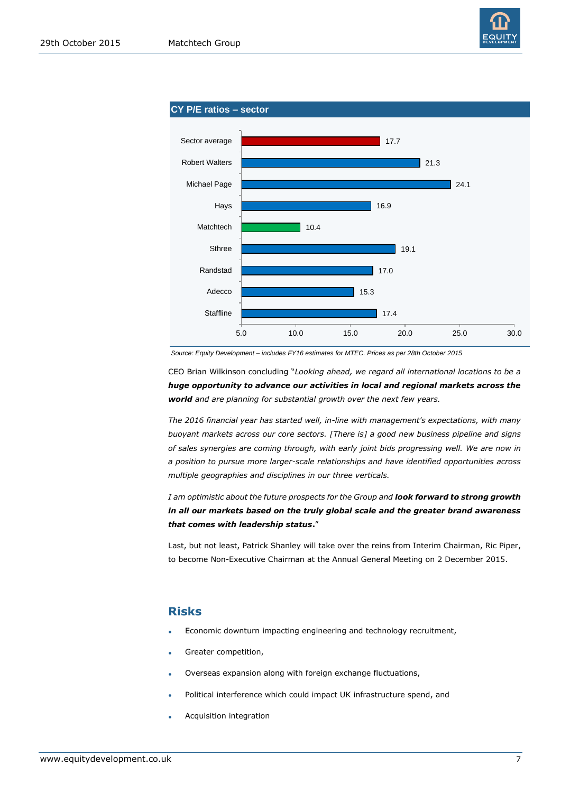



*Source: Equity Development – includes FY16 estimates for MTEC. Prices as per 28th October 2015*

CEO Brian Wilkinson concluding "*Looking ahead, we regard all international locations to be a huge opportunity to advance our activities in local and regional markets across the world and are planning for substantial growth over the next few years.* 

*The 2016 financial year has started well, in-line with management's expectations, with many buoyant markets across our core sectors. [There is] a good new business pipeline and signs of sales synergies are coming through, with early joint bids progressing well. We are now in a position to pursue more larger-scale relationships and have identified opportunities across multiple geographies and disciplines in our three verticals.*

*I am optimistic about the future prospects for the Group and look forward to strong growth in all our markets based on the truly global scale and the greater brand awareness that comes with leadership status***.**"

Last, but not least, Patrick Shanley will take over the reins from Interim Chairman, Ric Piper, to become Non-Executive Chairman at the Annual General Meeting on 2 December 2015.

## **Risks**

- Economic downturn impacting engineering and technology recruitment,
- Greater competition,
- Overseas expansion along with foreign exchange fluctuations,
- Political interference which could impact UK infrastructure spend, and
- Acquisition integration